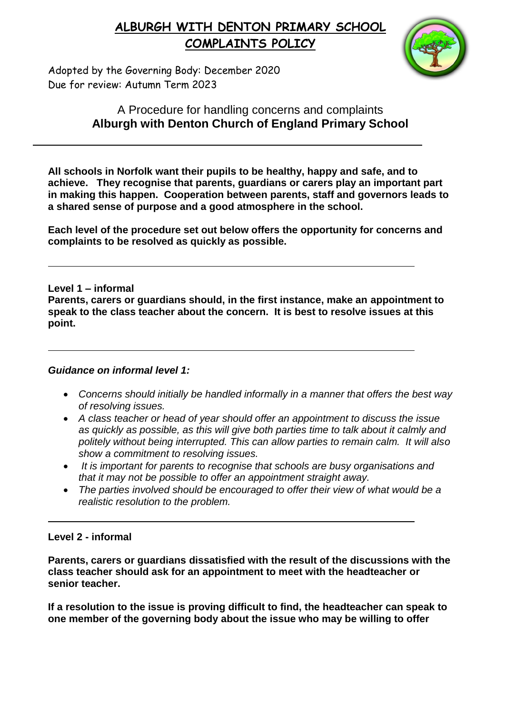

Adopted by the Governing Body: December 2020 Due for review: Autumn Term 2023

### A Procedure for handling concerns and complaints **Alburgh with Denton Church of England Primary School**

**All schools in Norfolk want their pupils to be healthy, happy and safe, and to achieve. They recognise that parents, guardians or carers play an important part in making this happen. Cooperation between parents, staff and governors leads to a shared sense of purpose and a good atmosphere in the school.** 

**Each level of the procedure set out below offers the opportunity for concerns and complaints to be resolved as quickly as possible.**

**Level 1 – informal Parents, carers or guardians should, in the first instance, make an appointment to speak to the class teacher about the concern. It is best to resolve issues at this point.**

#### *Guidance on informal level 1:*

- *Concerns should initially be handled informally in a manner that offers the best way of resolving issues.*
- *A class teacher or head of year should offer an appointment to discuss the issue as quickly as possible, as this will give both parties time to talk about it calmly and politely without being interrupted. This can allow parties to remain calm. It will also show a commitment to resolving issues.*
- *It is important for parents to recognise that schools are busy organisations and that it may not be possible to offer an appointment straight away.*
- *The parties involved should be encouraged to offer their view of what would be a realistic resolution to the problem.*

#### **Level 2 - informal**

**Parents, carers or guardians dissatisfied with the result of the discussions with the class teacher should ask for an appointment to meet with the headteacher or senior teacher.**

**If a resolution to the issue is proving difficult to find, the headteacher can speak to one member of the governing body about the issue who may be willing to offer**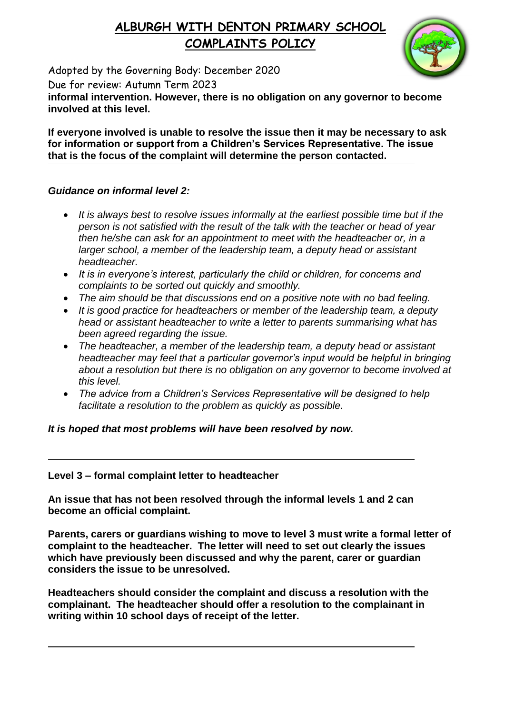

Adopted by the Governing Body: December 2020 Due for review: Autumn Term 2023

**informal intervention. However, there is no obligation on any governor to become involved at this level.**

**If everyone involved is unable to resolve the issue then it may be necessary to ask for information or support from a Children's Services Representative. The issue that is the focus of the complaint will determine the person contacted.** 

### *Guidance on informal level 2:*

- *It is always best to resolve issues informally at the earliest possible time but if the person is not satisfied with the result of the talk with the teacher or head of year then he/she can ask for an appointment to meet with the headteacher or, in a larger school, a member of the leadership team, a deputy head or assistant headteacher.*
- *It is in everyone's interest, particularly the child or children, for concerns and complaints to be sorted out quickly and smoothly.*
- *The aim should be that discussions end on a positive note with no bad feeling.*
- *It is good practice for headteachers or member of the leadership team, a deputy head or assistant headteacher to write a letter to parents summarising what has been agreed regarding the issue.*
- *The headteacher, a member of the leadership team, a deputy head or assistant headteacher may feel that a particular governor's input would be helpful in bringing about a resolution but there is no obligation on any governor to become involved at this level.*
- *The advice from a Children's Services Representative will be designed to help facilitate a resolution to the problem as quickly as possible.*

#### *It is hoped that most problems will have been resolved by now.*

**Level 3 – formal complaint letter to headteacher**

**An issue that has not been resolved through the informal levels 1 and 2 can become an official complaint.**

**Parents, carers or guardians wishing to move to level 3 must write a formal letter of complaint to the headteacher. The letter will need to set out clearly the issues which have previously been discussed and why the parent, carer or guardian considers the issue to be unresolved.** 

**Headteachers should consider the complaint and discuss a resolution with the complainant. The headteacher should offer a resolution to the complainant in writing within 10 school days of receipt of the letter.**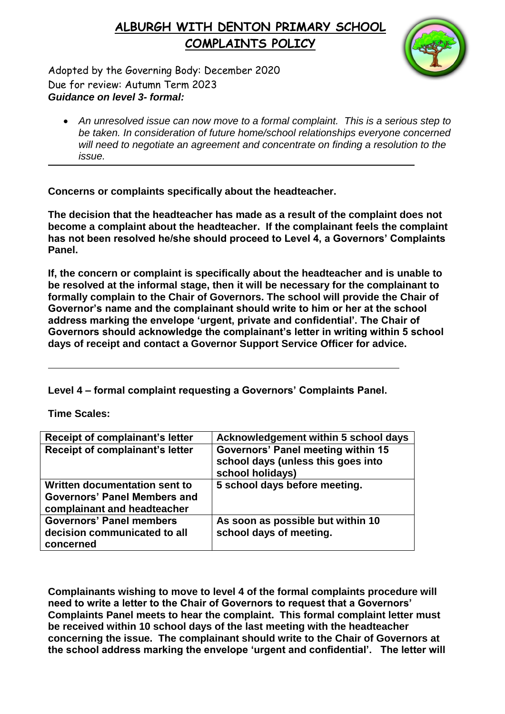

Adopted by the Governing Body: December 2020 Due for review: Autumn Term 2023 *Guidance on level 3- formal:*

 *An unresolved issue can now move to a formal complaint. This is a serious step to be taken. In consideration of future home/school relationships everyone concerned will need to negotiate an agreement and concentrate on finding a resolution to the issue.* 

**Concerns or complaints specifically about the headteacher.** 

**The decision that the headteacher has made as a result of the complaint does not become a complaint about the headteacher. If the complainant feels the complaint has not been resolved he/she should proceed to Level 4, a Governors' Complaints Panel.** 

**If, the concern or complaint is specifically about the headteacher and is unable to be resolved at the informal stage, then it will be necessary for the complainant to formally complain to the Chair of Governors. The school will provide the Chair of Governor's name and the complainant should write to him or her at the school address marking the envelope 'urgent, private and confidential'. The Chair of Governors should acknowledge the complainant's letter in writing within 5 school days of receipt and contact a Governor Support Service Officer for advice.** 

**Level 4 – formal complaint requesting a Governors' Complaints Panel.** 

**Time Scales:**

| <b>Receipt of complainant's letter</b>                                                       | Acknowledgement within 5 school days                                                         |
|----------------------------------------------------------------------------------------------|----------------------------------------------------------------------------------------------|
| <b>Receipt of complainant's letter</b>                                                       | Governors' Panel meeting within 15<br>school days (unless this goes into<br>school holidays) |
| Written documentation sent to<br>Governors' Panel Members and<br>complainant and headteacher | 5 school days before meeting.                                                                |
| <b>Governors' Panel members</b><br>decision communicated to all<br>concerned                 | As soon as possible but within 10<br>school days of meeting.                                 |

**Complainants wishing to move to level 4 of the formal complaints procedure will need to write a letter to the Chair of Governors to request that a Governors' Complaints Panel meets to hear the complaint. This formal complaint letter must be received within 10 school days of the last meeting with the headteacher concerning the issue. The complainant should write to the Chair of Governors at the school address marking the envelope 'urgent and confidential'. The letter will**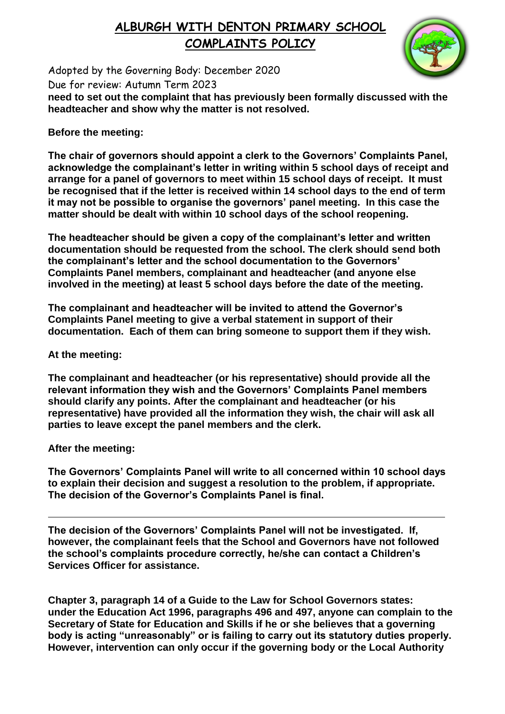

Adopted by the Governing Body: December 2020 Due for review: Autumn Term 2023

**need to set out the complaint that has previously been formally discussed with the headteacher and show why the matter is not resolved.**

#### **Before the meeting:**

**The chair of governors should appoint a clerk to the Governors' Complaints Panel, acknowledge the complainant's letter in writing within 5 school days of receipt and arrange for a panel of governors to meet within 15 school days of receipt. It must be recognised that if the letter is received within 14 school days to the end of term it may not be possible to organise the governors' panel meeting. In this case the matter should be dealt with within 10 school days of the school reopening.**

**The headteacher should be given a copy of the complainant's letter and written documentation should be requested from the school. The clerk should send both the complainant's letter and the school documentation to the Governors' Complaints Panel members, complainant and headteacher (and anyone else involved in the meeting) at least 5 school days before the date of the meeting.** 

**The complainant and headteacher will be invited to attend the Governor's Complaints Panel meeting to give a verbal statement in support of their documentation. Each of them can bring someone to support them if they wish.** 

#### **At the meeting:**

**The complainant and headteacher (or his representative) should provide all the relevant information they wish and the Governors' Complaints Panel members should clarify any points. After the complainant and headteacher (or his representative) have provided all the information they wish, the chair will ask all parties to leave except the panel members and the clerk.**

**After the meeting:**

**The Governors' Complaints Panel will write to all concerned within 10 school days to explain their decision and suggest a resolution to the problem, if appropriate. The decision of the Governor's Complaints Panel is final.** 

**The decision of the Governors' Complaints Panel will not be investigated. If, however, the complainant feels that the School and Governors have not followed the school's complaints procedure correctly, he/she can contact a Children's Services Officer for assistance.** 

**Chapter 3, paragraph 14 of a Guide to the Law for School Governors states: under the Education Act 1996, paragraphs 496 and 497, anyone can complain to the Secretary of State for Education and Skills if he or she believes that a governing body is acting "unreasonably" or is failing to carry out its statutory duties properly. However, intervention can only occur if the governing body or the Local Authority**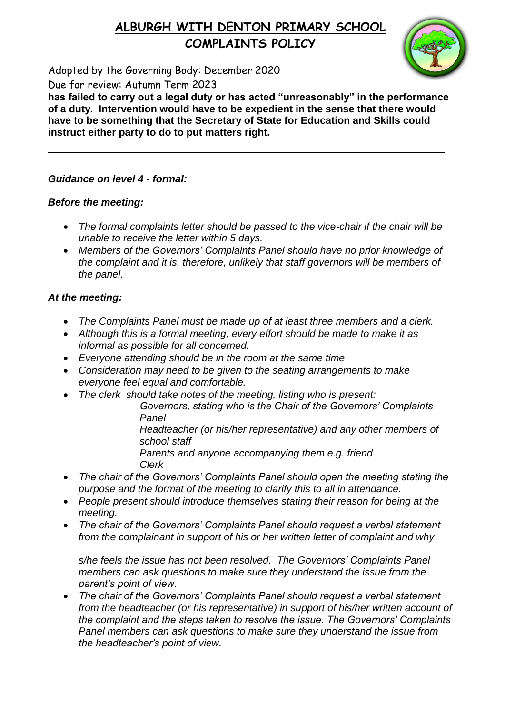

Adopted by the Governing Body: December 2020

Due for review: Autumn Term 2023

**has failed to carry out a legal duty or has acted "unreasonably" in the performance of a duty. Intervention would have to be expedient in the sense that there would have to be something that the Secretary of State for Education and Skills could instruct either party to do to put matters right.** 

### *Guidance on level 4 - formal:*

#### *Before the meeting:*

- *The formal complaints letter should be passed to the vice-chair if the chair will be unable to receive the letter within 5 days.*
- *Members of the Governors' Complaints Panel should have no prior knowledge of the complaint and it is, therefore, unlikely that staff governors will be members of the panel.*

### *At the meeting:*

- *The Complaints Panel must be made up of at least three members and a clerk.*
- *Although this is a formal meeting, every effort should be made to make it as informal as possible for all concerned.*
- *Everyone attending should be in the room at the same time*
- *Consideration may need to be given to the seating arrangements to make everyone feel equal and comfortable.*
- *The clerk should take notes of the meeting, listing who is present:*
	- *Governors, stating who is the Chair of the Governors' Complaints Panel*
		- *Headteacher (or his/her representative) and any other members of school staff*
		- *Parents and anyone accompanying them e.g. friend Clerk*
- *The chair of the Governors' Complaints Panel should open the meeting stating the purpose and the format of the meeting to clarify this to all in attendance.*
- *People present should introduce themselves stating their reason for being at the meeting.*
- *The chair of the Governors' Complaints Panel should request a verbal statement from the complainant in support of his or her written letter of complaint and why*

*s/he feels the issue has not been resolved. The Governors' Complaints Panel members can ask questions to make sure they understand the issue from the parent's point of view.* 

 *The chair of the Governors' Complaints Panel should request a verbal statement from the headteacher (or his representative) in support of his/her written account of the complaint and the steps taken to resolve the issue. The Governors' Complaints Panel members can ask questions to make sure they understand the issue from the headteacher's point of view.*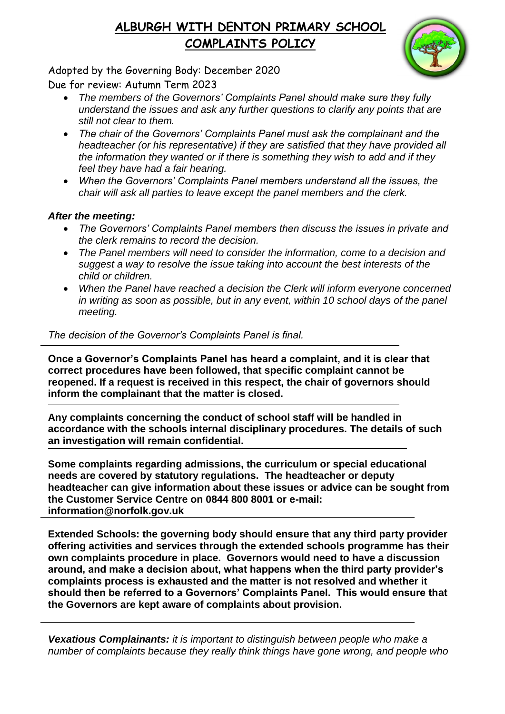

Adopted by the Governing Body: December 2020 Due for review: Autumn Term 2023

- *The members of the Governors' Complaints Panel should make sure they fully understand the issues and ask any further questions to clarify any points that are still not clear to them.*
- *The chair of the Governors' Complaints Panel must ask the complainant and the headteacher (or his representative) if they are satisfied that they have provided all the information they wanted or if there is something they wish to add and if they feel they have had a fair hearing.*
- *When the Governors' Complaints Panel members understand all the issues, the chair will ask all parties to leave except the panel members and the clerk.*

### *After the meeting:*

- *The Governors' Complaints Panel members then discuss the issues in private and the clerk remains to record the decision.*
- *The Panel members will need to consider the information, come to a decision and suggest a way to resolve the issue taking into account the best interests of the child or children.*
- *When the Panel have reached a decision the Clerk will inform everyone concerned in writing as soon as possible, but in any event, within 10 school days of the panel meeting.*

### *The decision of the Governor's Complaints Panel is final.*

**Once a Governor's Complaints Panel has heard a complaint, and it is clear that correct procedures have been followed, that specific complaint cannot be reopened. If a request is received in this respect, the chair of governors should inform the complainant that the matter is closed.** 

**Any complaints concerning the conduct of school staff will be handled in accordance with the schools internal disciplinary procedures. The details of such an investigation will remain confidential.** 

**Some complaints regarding admissions, the curriculum or special educational needs are covered by statutory regulations. The headteacher or deputy headteacher can give information about these issues or advice can be sought from the Customer Service Centre on 0844 800 8001 or e-mail: information@norfolk.gov.uk**

**Extended Schools: the governing body should ensure that any third party provider offering activities and services through the extended schools programme has their own complaints procedure in place. Governors would need to have a discussion around, and make a decision about, what happens when the third party provider's complaints process is exhausted and the matter is not resolved and whether it should then be referred to a Governors' Complaints Panel. This would ensure that the Governors are kept aware of complaints about provision.** 

*Vexatious Complainants: it is important to distinguish between people who make a number of complaints because they really think things have gone wrong, and people who*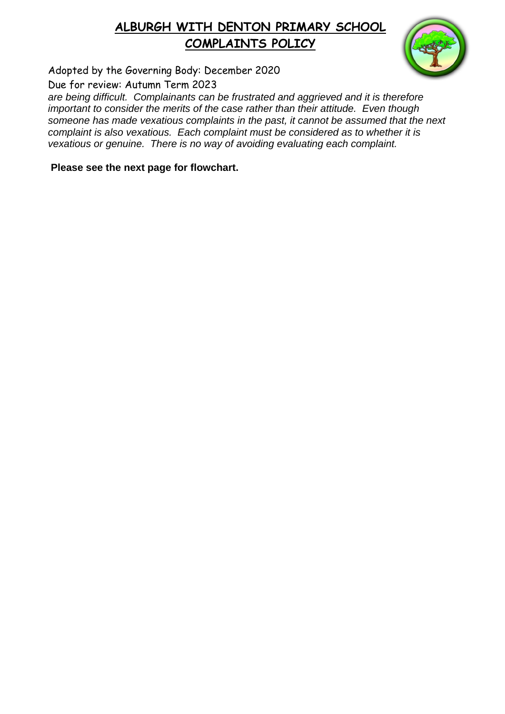

Adopted by the Governing Body: December 2020

Due for review: Autumn Term 2023

*are being difficult. Complainants can be frustrated and aggrieved and it is therefore important to consider the merits of the case rather than their attitude. Even though someone has made vexatious complaints in the past, it cannot be assumed that the next complaint is also vexatious. Each complaint must be considered as to whether it is vexatious or genuine. There is no way of avoiding evaluating each complaint.*

**Please see the next page for flowchart.**